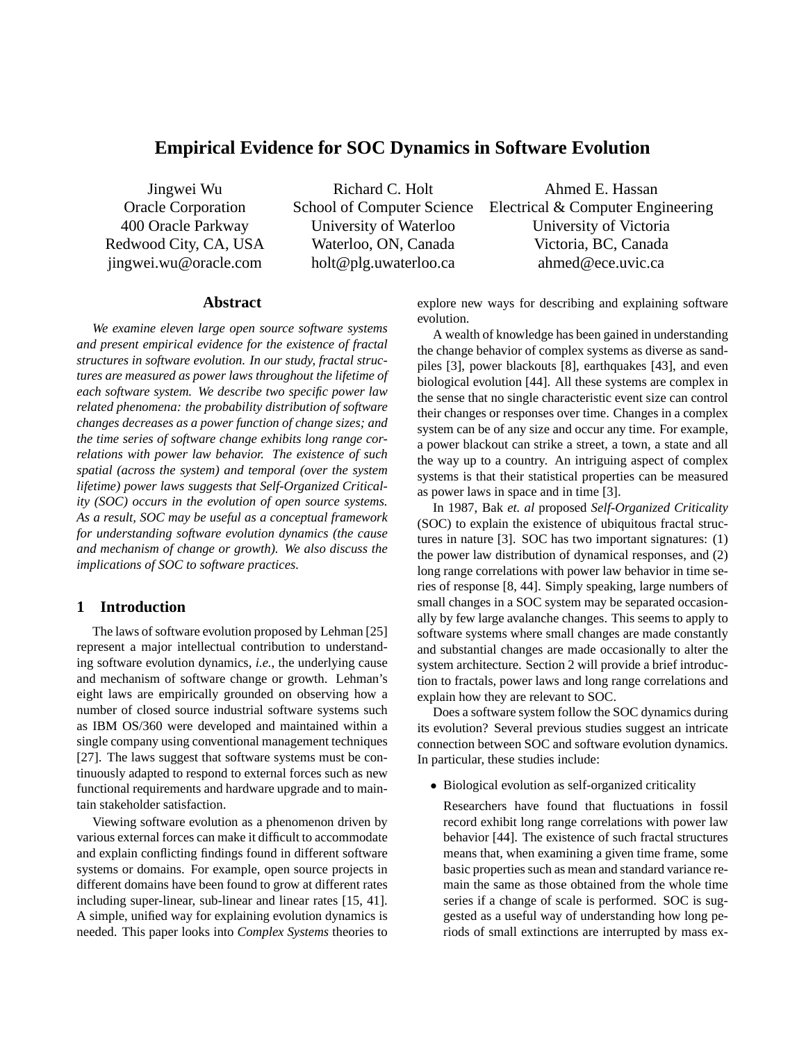# **Empirical Evidence for SOC Dynamics in Software Evolution**

Jingwei Wu Richard C. Holt Ahmed E. Hassan

Oracle Corporation School of Computer Science Electrical & Computer Engineering 400 Oracle Parkway University of Waterloo University of Victoria Redwood City, CA, USA Waterloo, ON, Canada Victoria, BC, Canada jingwei.wu@oracle.com holt@plg.uwaterloo.ca ahmed@ece.uvic.ca

## **Abstract**

*We examine eleven large open source software systems and present empirical evidence for the existence of fractal structures in software evolution. In our study, fractal structures are measured as power laws throughout the lifetime of each software system. We describe two specific power law related phenomena: the probability distribution of software changes decreases as a power function of change sizes; and the time series of software change exhibits long range correlations with power law behavior. The existence of such spatial (across the system) and temporal (over the system lifetime) power laws suggests that Self-Organized Criticality (SOC) occurs in the evolution of open source systems. As a result, SOC may be useful as a conceptual framework for understanding software evolution dynamics (the cause and mechanism of change or growth). We also discuss the implications of SOC to software practices.*

## **1 Introduction**

The laws of software evolution proposed by Lehman [25] represent a major intellectual contribution to understanding software evolution dynamics, *i.e.*, the underlying cause and mechanism of software change or growth. Lehman's eight laws are empirically grounded on observing how a number of closed source industrial software systems such as IBM OS/360 were developed and maintained within a single company using conventional management techniques [27]. The laws suggest that software systems must be continuously adapted to respond to external forces such as new functional requirements and hardware upgrade and to maintain stakeholder satisfaction.

Viewing software evolution as a phenomenon driven by various external forces can make it difficult to accommodate and explain conflicting findings found in different software systems or domains. For example, open source projects in different domains have been found to grow at different rates including super-linear, sub-linear and linear rates [15, 41]. A simple, unified way for explaining evolution dynamics is needed. This paper looks into *Complex Systems* theories to explore new ways for describing and explaining software evolution.

A wealth of knowledge has been gained in understanding the change behavior of complex systems as diverse as sandpiles [3], power blackouts [8], earthquakes [43], and even biological evolution [44]. All these systems are complex in the sense that no single characteristic event size can control their changes or responses over time. Changes in a complex system can be of any size and occur any time. For example, a power blackout can strike a street, a town, a state and all the way up to a country. An intriguing aspect of complex systems is that their statistical properties can be measured as power laws in space and in time [3].

In 1987, Bak *et. al* proposed *Self-Organized Criticality* (SOC) to explain the existence of ubiquitous fractal structures in nature [3]. SOC has two important signatures: (1) the power law distribution of dynamical responses, and (2) long range correlations with power law behavior in time series of response [8, 44]. Simply speaking, large numbers of small changes in a SOC system may be separated occasionally by few large avalanche changes. This seems to apply to software systems where small changes are made constantly and substantial changes are made occasionally to alter the system architecture. Section 2 will provide a brief introduction to fractals, power laws and long range correlations and explain how they are relevant to SOC.

Does a software system follow the SOC dynamics during its evolution? Several previous studies suggest an intricate connection between SOC and software evolution dynamics. In particular, these studies include:

• Biological evolution as self-organized criticality

Researchers have found that fluctuations in fossil record exhibit long range correlations with power law behavior [44]. The existence of such fractal structures means that, when examining a given time frame, some basic properties such as mean and standard variance remain the same as those obtained from the whole time series if a change of scale is performed. SOC is suggested as a useful way of understanding how long periods of small extinctions are interrupted by mass ex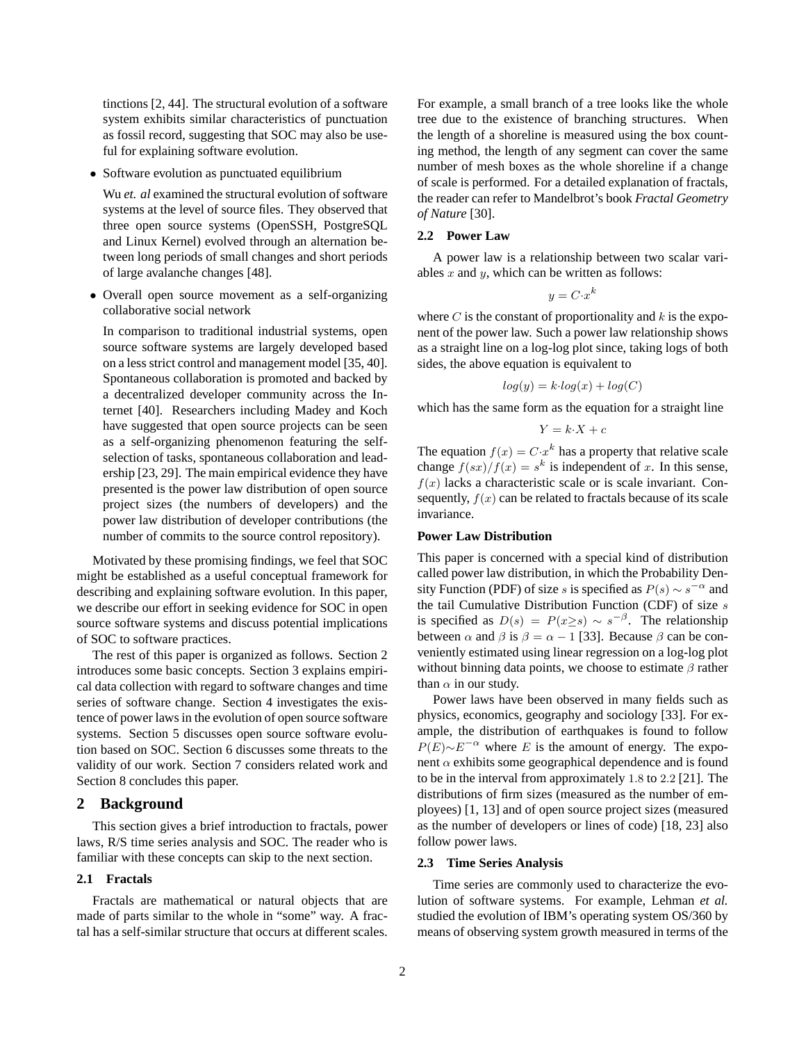tinctions [2, 44]. The structural evolution of a software system exhibits similar characteristics of punctuation as fossil record, suggesting that SOC may also be useful for explaining software evolution.

• Software evolution as punctuated equilibrium

Wu *et. al* examined the structural evolution of software systems at the level of source files. They observed that three open source systems (OpenSSH, PostgreSQL and Linux Kernel) evolved through an alternation between long periods of small changes and short periods of large avalanche changes [48].

• Overall open source movement as a self-organizing collaborative social network

In comparison to traditional industrial systems, open source software systems are largely developed based on a less strict control and management model [35, 40]. Spontaneous collaboration is promoted and backed by a decentralized developer community across the Internet [40]. Researchers including Madey and Koch have suggested that open source projects can be seen as a self-organizing phenomenon featuring the selfselection of tasks, spontaneous collaboration and leadership [23, 29]. The main empirical evidence they have presented is the power law distribution of open source project sizes (the numbers of developers) and the power law distribution of developer contributions (the number of commits to the source control repository).

Motivated by these promising findings, we feel that SOC might be established as a useful conceptual framework for describing and explaining software evolution. In this paper, we describe our effort in seeking evidence for SOC in open source software systems and discuss potential implications of SOC to software practices.

The rest of this paper is organized as follows. Section 2 introduces some basic concepts. Section 3 explains empirical data collection with regard to software changes and time series of software change. Section 4 investigates the existence of power laws in the evolution of open source software systems. Section 5 discusses open source software evolution based on SOC. Section 6 discusses some threats to the validity of our work. Section 7 considers related work and Section 8 concludes this paper.

## **2 Background**

This section gives a brief introduction to fractals, power laws, R/S time series analysis and SOC. The reader who is familiar with these concepts can skip to the next section.

#### **2.1 Fractals**

Fractals are mathematical or natural objects that are made of parts similar to the whole in "some" way. A fractal has a self-similar structure that occurs at different scales. For example, a small branch of a tree looks like the whole tree due to the existence of branching structures. When the length of a shoreline is measured using the box counting method, the length of any segment can cover the same number of mesh boxes as the whole shoreline if a change of scale is performed. For a detailed explanation of fractals, the reader can refer to Mandelbrot's book *Fractal Geometry of Nature* [30].

#### **2.2 Power Law**

A power law is a relationship between two scalar variables  $x$  and  $y$ , which can be written as follows:

$$
y = C \cdot x^k
$$

where  $C$  is the constant of proportionality and  $k$  is the exponent of the power law. Such a power law relationship shows as a straight line on a log-log plot since, taking logs of both sides, the above equation is equivalent to

$$
log(y) = k \cdot log(x) + log(C)
$$

which has the same form as the equation for a straight line

$$
Y=k{\cdot}X+c
$$

The equation  $f(x) = C \cdot x^k$  has a property that relative scale change  $f(sx)/f(x) = s^k$  is independent of x. In this sense,  $f(x)$  lacks a characteristic scale or is scale invariant. Consequently,  $f(x)$  can be related to fractals because of its scale invariance.

## **Power Law Distribution**

This paper is concerned with a special kind of distribution called power law distribution, in which the Probability Density Function (PDF) of size s is specified as  $P(s) \sim s^{-\alpha}$  and the tail Cumulative Distribution Function (CDF) of size s is specified as  $D(s) = P(x \ge s) \sim s^{-\beta}$ . The relationship between  $\alpha$  and  $\beta$  is  $\beta = \alpha - 1$  [33]. Because  $\beta$  can be conveniently estimated using linear regression on a log-log plot without binning data points, we choose to estimate  $\beta$  rather than  $\alpha$  in our study.

Power laws have been observed in many fields such as physics, economics, geography and sociology [33]. For example, the distribution of earthquakes is found to follow  $P(E) \sim E^{-\alpha}$  where E is the amount of energy. The exponent  $\alpha$  exhibits some geographical dependence and is found to be in the interval from approximately 1.8 to 2.2 [21]. The distributions of firm sizes (measured as the number of employees) [1, 13] and of open source project sizes (measured as the number of developers or lines of code) [18, 23] also follow power laws.

### **2.3 Time Series Analysis**

Time series are commonly used to characterize the evolution of software systems. For example, Lehman *et al.* studied the evolution of IBM's operating system OS/360 by means of observing system growth measured in terms of the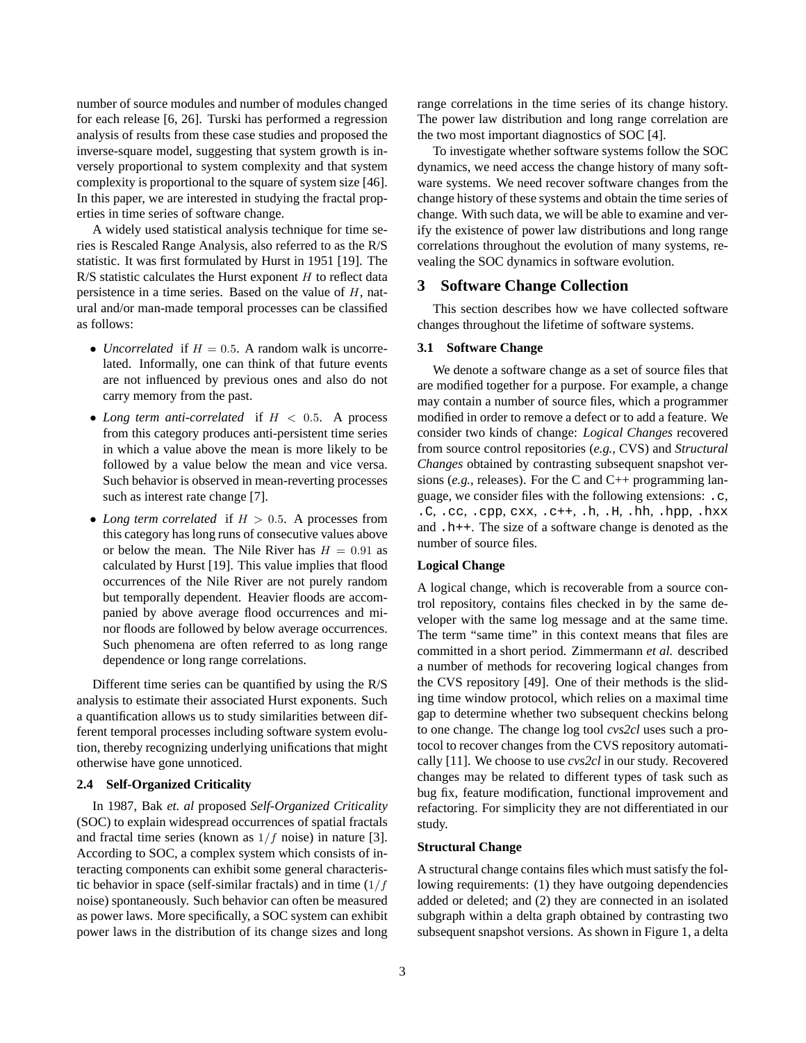number of source modules and number of modules changed for each release [6, 26]. Turski has performed a regression analysis of results from these case studies and proposed the inverse-square model, suggesting that system growth is inversely proportional to system complexity and that system complexity is proportional to the square of system size [46]. In this paper, we are interested in studying the fractal properties in time series of software change.

A widely used statistical analysis technique for time series is Rescaled Range Analysis, also referred to as the R/S statistic. It was first formulated by Hurst in 1951 [19]. The  $R/S$  statistic calculates the Hurst exponent  $H$  to reflect data persistence in a time series. Based on the value of H, natural and/or man-made temporal processes can be classified as follows:

- *Uncorrelated* if  $H = 0.5$ . A random walk is uncorrelated. Informally, one can think of that future events are not influenced by previous ones and also do not carry memory from the past.
- *Long term anti-correlated* if H < 0.5. A process from this category produces anti-persistent time series in which a value above the mean is more likely to be followed by a value below the mean and vice versa. Such behavior is observed in mean-reverting processes such as interest rate change [7].
- *Long term correlated* if  $H > 0.5$ . A processes from this category has long runs of consecutive values above or below the mean. The Nile River has  $H = 0.91$  as calculated by Hurst [19]. This value implies that flood occurrences of the Nile River are not purely random but temporally dependent. Heavier floods are accompanied by above average flood occurrences and minor floods are followed by below average occurrences. Such phenomena are often referred to as long range dependence or long range correlations.

Different time series can be quantified by using the R/S analysis to estimate their associated Hurst exponents. Such a quantification allows us to study similarities between different temporal processes including software system evolution, thereby recognizing underlying unifications that might otherwise have gone unnoticed.

#### **2.4 Self-Organized Criticality**

In 1987, Bak *et. al* proposed *Self-Organized Criticality* (SOC) to explain widespread occurrences of spatial fractals and fractal time series (known as  $1/f$  noise) in nature [3]. According to SOC, a complex system which consists of interacting components can exhibit some general characteristic behavior in space (self-similar fractals) and in time  $(1/f)$ noise) spontaneously. Such behavior can often be measured as power laws. More specifically, a SOC system can exhibit power laws in the distribution of its change sizes and long range correlations in the time series of its change history. The power law distribution and long range correlation are the two most important diagnostics of SOC [4].

To investigate whether software systems follow the SOC dynamics, we need access the change history of many software systems. We need recover software changes from the change history of these systems and obtain the time series of change. With such data, we will be able to examine and verify the existence of power law distributions and long range correlations throughout the evolution of many systems, revealing the SOC dynamics in software evolution.

### **3 Software Change Collection**

This section describes how we have collected software changes throughout the lifetime of software systems.

### **3.1 Software Change**

We denote a software change as a set of source files that are modified together for a purpose. For example, a change may contain a number of source files, which a programmer modified in order to remove a defect or to add a feature. We consider two kinds of change: *Logical Changes* recovered from source control repositories (*e.g.*, CVS) and *Structural Changes* obtained by contrasting subsequent snapshot versions (*e.g.*, releases). For the C and C++ programming language, we consider files with the following extensions: .c, .C, .cc, .cpp, cxx, .c++, .h, .H, .hh, .hpp, .hxx and .h++. The size of a software change is denoted as the number of source files.

### **Logical Change**

A logical change, which is recoverable from a source control repository, contains files checked in by the same developer with the same log message and at the same time. The term "same time" in this context means that files are committed in a short period. Zimmermann *et al.* described a number of methods for recovering logical changes from the CVS repository [49]. One of their methods is the sliding time window protocol, which relies on a maximal time gap to determine whether two subsequent checkins belong to one change. The change log tool *cvs2cl* uses such a protocol to recover changes from the CVS repository automatically [11]. We choose to use *cvs2cl* in our study. Recovered changes may be related to different types of task such as bug fix, feature modification, functional improvement and refactoring. For simplicity they are not differentiated in our study.

### **Structural Change**

A structural change contains files which must satisfy the following requirements: (1) they have outgoing dependencies added or deleted; and (2) they are connected in an isolated subgraph within a delta graph obtained by contrasting two subsequent snapshot versions. As shown in Figure 1, a delta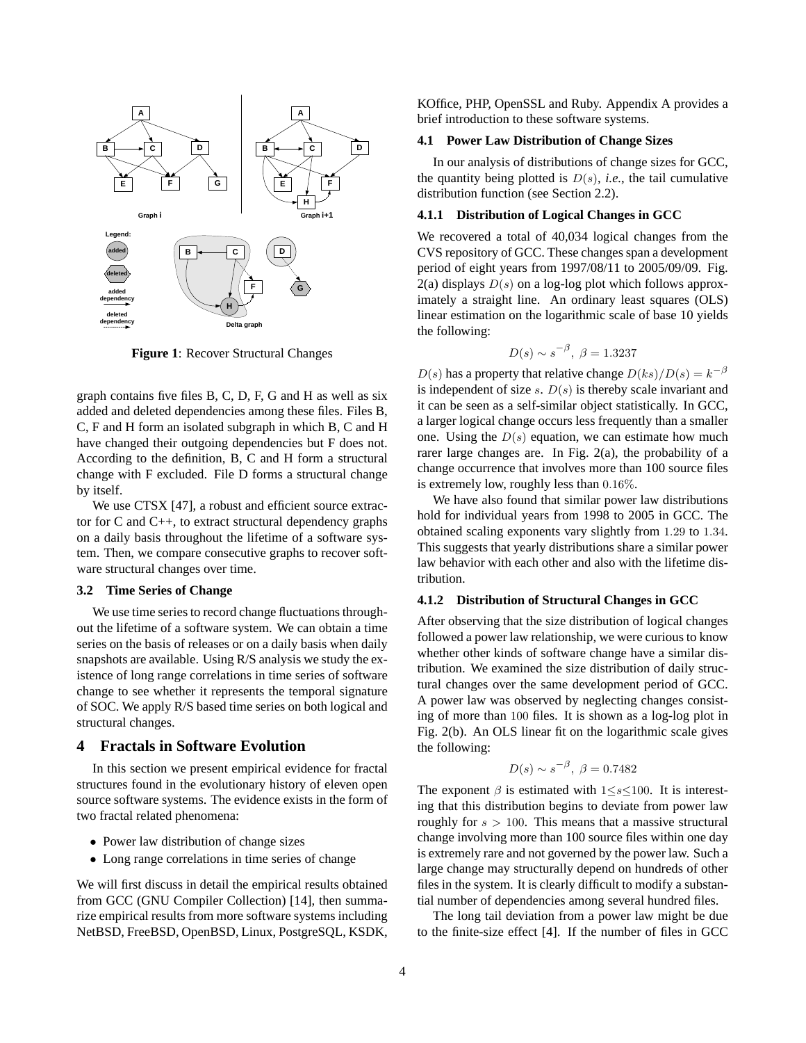

**Figure 1**: Recover Structural Changes

graph contains five files B, C, D, F, G and H as well as six added and deleted dependencies among these files. Files B, C, F and H form an isolated subgraph in which B, C and H have changed their outgoing dependencies but F does not. According to the definition, B, C and H form a structural change with F excluded. File D forms a structural change by itself.

We use CTSX [47], a robust and efficient source extractor for C and C++, to extract structural dependency graphs on a daily basis throughout the lifetime of a software system. Then, we compare consecutive graphs to recover software structural changes over time.

#### **3.2 Time Series of Change**

We use time series to record change fluctuations throughout the lifetime of a software system. We can obtain a time series on the basis of releases or on a daily basis when daily snapshots are available. Using R/S analysis we study the existence of long range correlations in time series of software change to see whether it represents the temporal signature of SOC. We apply R/S based time series on both logical and structural changes.

### **4 Fractals in Software Evolution**

In this section we present empirical evidence for fractal structures found in the evolutionary history of eleven open source software systems. The evidence exists in the form of two fractal related phenomena:

- Power law distribution of change sizes
- Long range correlations in time series of change

We will first discuss in detail the empirical results obtained from GCC (GNU Compiler Collection) [14], then summarize empirical results from more software systems including NetBSD, FreeBSD, OpenBSD, Linux, PostgreSQL, KSDK,

KOffice, PHP, OpenSSL and Ruby. Appendix A provides a brief introduction to these software systems.

#### **4.1 Power Law Distribution of Change Sizes**

In our analysis of distributions of change sizes for GCC, the quantity being plotted is  $D(s)$ , *i.e.*, the tail cumulative distribution function (see Section 2.2).

### **4.1.1 Distribution of Logical Changes in GCC**

We recovered a total of 40,034 logical changes from the CVS repository of GCC. These changes span a development period of eight years from 1997/08/11 to 2005/09/09. Fig.  $2(a)$  displays  $D(s)$  on a log-log plot which follows approximately a straight line. An ordinary least squares (OLS) linear estimation on the logarithmic scale of base 10 yields the following:

$$
D(s) \sim s^{-\beta}, \ \beta = 1.3237
$$

 $D(s)$  has a property that relative change  $D(ks)/D(s) = k^{-\beta}$ is independent of size  $s$ .  $D(s)$  is thereby scale invariant and it can be seen as a self-similar object statistically. In GCC, a larger logical change occurs less frequently than a smaller one. Using the  $D(s)$  equation, we can estimate how much rarer large changes are. In Fig. 2(a), the probability of a change occurrence that involves more than 100 source files is extremely low, roughly less than 0.16%.

We have also found that similar power law distributions hold for individual years from 1998 to 2005 in GCC. The obtained scaling exponents vary slightly from 1.29 to 1.34. This suggests that yearly distributions share a similar power law behavior with each other and also with the lifetime distribution.

### **4.1.2 Distribution of Structural Changes in GCC**

After observing that the size distribution of logical changes followed a power law relationship, we were curious to know whether other kinds of software change have a similar distribution. We examined the size distribution of daily structural changes over the same development period of GCC. A power law was observed by neglecting changes consisting of more than 100 files. It is shown as a log-log plot in Fig. 2(b). An OLS linear fit on the logarithmic scale gives the following:

$$
D(s) \sim s^{-\beta}, \ \beta = 0.7482
$$

The exponent  $\beta$  is estimated with 1≤s≤100. It is interesting that this distribution begins to deviate from power law roughly for  $s > 100$ . This means that a massive structural change involving more than 100 source files within one day is extremely rare and not governed by the power law. Such a large change may structurally depend on hundreds of other files in the system. It is clearly difficult to modify a substantial number of dependencies among several hundred files.

The long tail deviation from a power law might be due to the finite-size effect [4]. If the number of files in GCC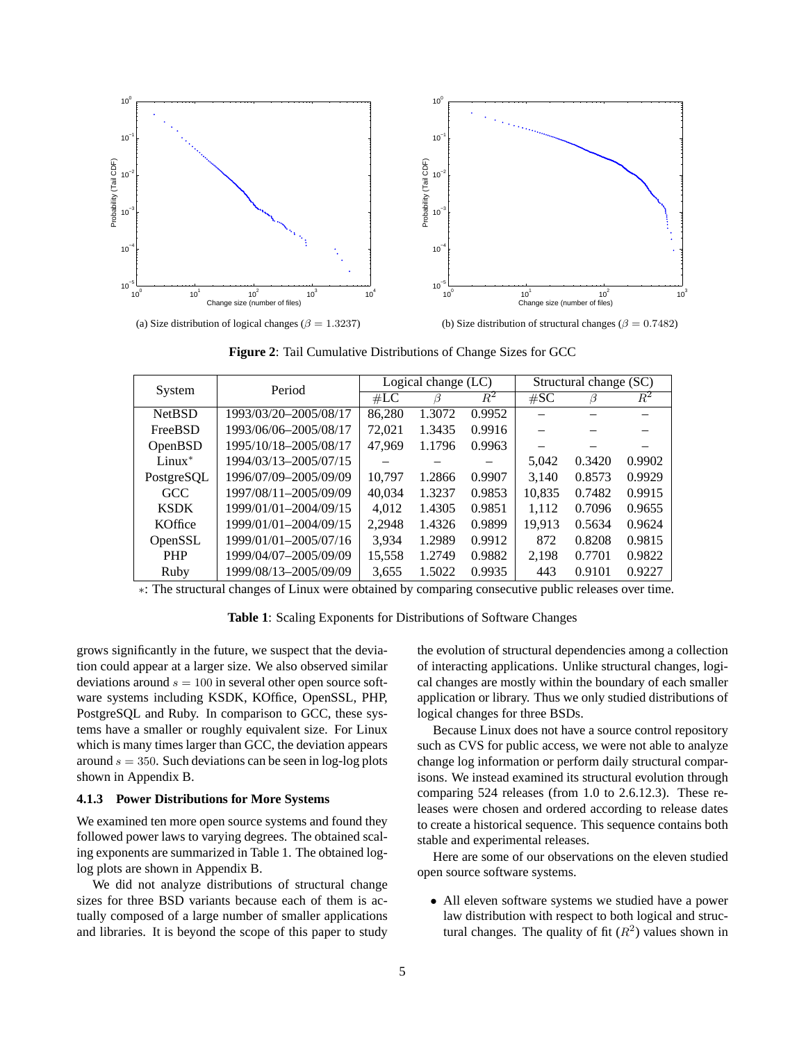

(b) Size distribution of structural changes ( $\beta = 0.7482$ )

**Figure 2**: Tail Cumulative Distributions of Change Sizes for GCC

| System        | Period                | Logical change (LC) |        |        | Structural change (SC) |        |        |
|---------------|-----------------------|---------------------|--------|--------|------------------------|--------|--------|
|               |                       | #LC                 | β      | $R^2$  | $\#SC$                 | β      | $R^2$  |
| <b>NetBSD</b> | 1993/03/20-2005/08/17 | 86.280              | 1.3072 | 0.9952 |                        |        |        |
| FreeBSD       | 1993/06/06-2005/08/17 | 72,021              | 1.3435 | 0.9916 |                        |        |        |
| OpenBSD       | 1995/10/18-2005/08/17 | 47,969              | 1.1796 | 0.9963 |                        |        |        |
| $Linux^*$     | 1994/03/13-2005/07/15 |                     |        |        | 5,042                  | 0.3420 | 0.9902 |
| PostgreSQL    | 1996/07/09-2005/09/09 | 10.797              | 1.2866 | 0.9907 | 3.140                  | 0.8573 | 0.9929 |
| <b>GCC</b>    | 1997/08/11-2005/09/09 | 40,034              | 1.3237 | 0.9853 | 10,835                 | 0.7482 | 0.9915 |
| <b>KSDK</b>   | 1999/01/01-2004/09/15 | 4.012               | 1.4305 | 0.9851 | 1,112                  | 0.7096 | 0.9655 |
| KOffice       | 1999/01/01-2004/09/15 | 2,2948              | 1.4326 | 0.9899 | 19.913                 | 0.5634 | 0.9624 |
| OpenSSL       | 1999/01/01-2005/07/16 | 3.934               | 1.2989 | 0.9912 | 872                    | 0.8208 | 0.9815 |
| <b>PHP</b>    | 1999/04/07-2005/09/09 | 15,558              | 1.2749 | 0.9882 | 2.198                  | 0.7701 | 0.9822 |
| Ruby          | 1999/08/13-2005/09/09 | 3.655               | 1.5022 | 0.9935 | 443                    | 0.9101 | 0.9227 |

∗: The structural changes of Linux were obtained by comparing consecutive public releases over time.

**Table 1**: Scaling Exponents for Distributions of Software Changes

grows significantly in the future, we suspect that the deviation could appear at a larger size. We also observed similar deviations around  $s = 100$  in several other open source software systems including KSDK, KOffice, OpenSSL, PHP, PostgreSQL and Ruby. In comparison to GCC, these systems have a smaller or roughly equivalent size. For Linux which is many times larger than GCC, the deviation appears around  $s = 350$ . Such deviations can be seen in log-log plots shown in Appendix B.

### **4.1.3 Power Distributions for More Systems**

We examined ten more open source systems and found they followed power laws to varying degrees. The obtained scaling exponents are summarized in Table 1. The obtained loglog plots are shown in Appendix B.

We did not analyze distributions of structural change sizes for three BSD variants because each of them is actually composed of a large number of smaller applications and libraries. It is beyond the scope of this paper to study the evolution of structural dependencies among a collection of interacting applications. Unlike structural changes, logical changes are mostly within the boundary of each smaller application or library. Thus we only studied distributions of logical changes for three BSDs.

Because Linux does not have a source control repository such as CVS for public access, we were not able to analyze change log information or perform daily structural comparisons. We instead examined its structural evolution through comparing 524 releases (from 1.0 to 2.6.12.3). These releases were chosen and ordered according to release dates to create a historical sequence. This sequence contains both stable and experimental releases.

Here are some of our observations on the eleven studied open source software systems.

• All eleven software systems we studied have a power law distribution with respect to both logical and structural changes. The quality of fit  $(R^2)$  values shown in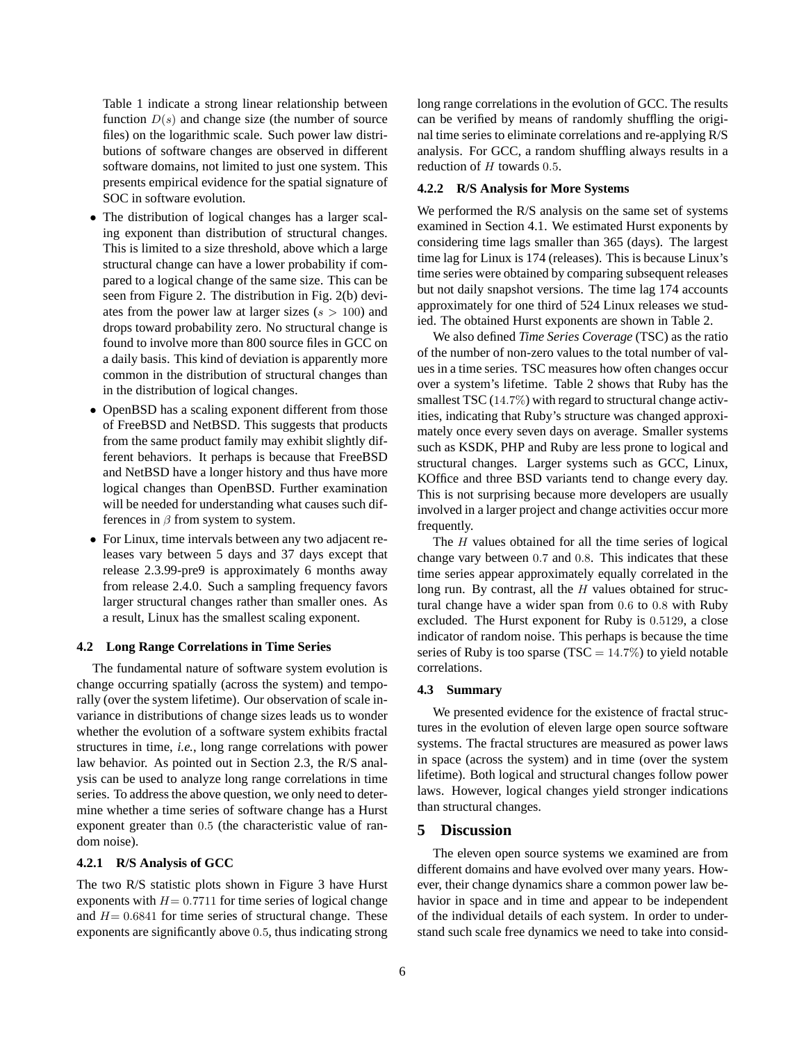Table 1 indicate a strong linear relationship between function  $D(s)$  and change size (the number of source files) on the logarithmic scale. Such power law distributions of software changes are observed in different software domains, not limited to just one system. This presents empirical evidence for the spatial signature of SOC in software evolution.

- The distribution of logical changes has a larger scaling exponent than distribution of structural changes. This is limited to a size threshold, above which a large structural change can have a lower probability if compared to a logical change of the same size. This can be seen from Figure 2. The distribution in Fig. 2(b) deviates from the power law at larger sizes  $(s > 100)$  and drops toward probability zero. No structural change is found to involve more than 800 source files in GCC on a daily basis. This kind of deviation is apparently more common in the distribution of structural changes than in the distribution of logical changes.
- OpenBSD has a scaling exponent different from those of FreeBSD and NetBSD. This suggests that products from the same product family may exhibit slightly different behaviors. It perhaps is because that FreeBSD and NetBSD have a longer history and thus have more logical changes than OpenBSD. Further examination will be needed for understanding what causes such differences in  $\beta$  from system to system.
- For Linux, time intervals between any two adjacent releases vary between 5 days and 37 days except that release 2.3.99-pre9 is approximately 6 months away from release 2.4.0. Such a sampling frequency favors larger structural changes rather than smaller ones. As a result, Linux has the smallest scaling exponent.

#### **4.2 Long Range Correlations in Time Series**

The fundamental nature of software system evolution is change occurring spatially (across the system) and temporally (over the system lifetime). Our observation of scale invariance in distributions of change sizes leads us to wonder whether the evolution of a software system exhibits fractal structures in time, *i.e.*, long range correlations with power law behavior. As pointed out in Section 2.3, the R/S analysis can be used to analyze long range correlations in time series. To address the above question, we only need to determine whether a time series of software change has a Hurst exponent greater than 0.5 (the characteristic value of random noise).

### **4.2.1 R/S Analysis of GCC**

The two R/S statistic plots shown in Figure 3 have Hurst exponents with  $H = 0.7711$  for time series of logical change and  $H = 0.6841$  for time series of structural change. These exponents are significantly above 0.5, thus indicating strong long range correlations in the evolution of GCC. The results can be verified by means of randomly shuffling the original time series to eliminate correlations and re-applying R/S analysis. For GCC, a random shuffling always results in a reduction of  $H$  towards 0.5.

### **4.2.2 R/S Analysis for More Systems**

We performed the R/S analysis on the same set of systems examined in Section 4.1. We estimated Hurst exponents by considering time lags smaller than 365 (days). The largest time lag for Linux is 174 (releases). This is because Linux's time series were obtained by comparing subsequent releases but not daily snapshot versions. The time lag 174 accounts approximately for one third of 524 Linux releases we studied. The obtained Hurst exponents are shown in Table 2.

We also defined *Time Series Coverage* (TSC) as the ratio of the number of non-zero values to the total number of values in a time series. TSC measures how often changes occur over a system's lifetime. Table 2 shows that Ruby has the smallest TSC (14.7%) with regard to structural change activities, indicating that Ruby's structure was changed approximately once every seven days on average. Smaller systems such as KSDK, PHP and Ruby are less prone to logical and structural changes. Larger systems such as GCC, Linux, KOffice and three BSD variants tend to change every day. This is not surprising because more developers are usually involved in a larger project and change activities occur more frequently.

The  $H$  values obtained for all the time series of logical change vary between 0.7 and 0.8. This indicates that these time series appear approximately equally correlated in the long run. By contrast, all the H values obtained for structural change have a wider span from 0.6 to 0.8 with Ruby excluded. The Hurst exponent for Ruby is 0.5129, a close indicator of random noise. This perhaps is because the time series of Ruby is too sparse (TSC =  $14.7\%$ ) to yield notable correlations.

#### **4.3 Summary**

We presented evidence for the existence of fractal structures in the evolution of eleven large open source software systems. The fractal structures are measured as power laws in space (across the system) and in time (over the system lifetime). Both logical and structural changes follow power laws. However, logical changes yield stronger indications than structural changes.

#### **5 Discussion**

The eleven open source systems we examined are from different domains and have evolved over many years. However, their change dynamics share a common power law behavior in space and in time and appear to be independent of the individual details of each system. In order to understand such scale free dynamics we need to take into consid-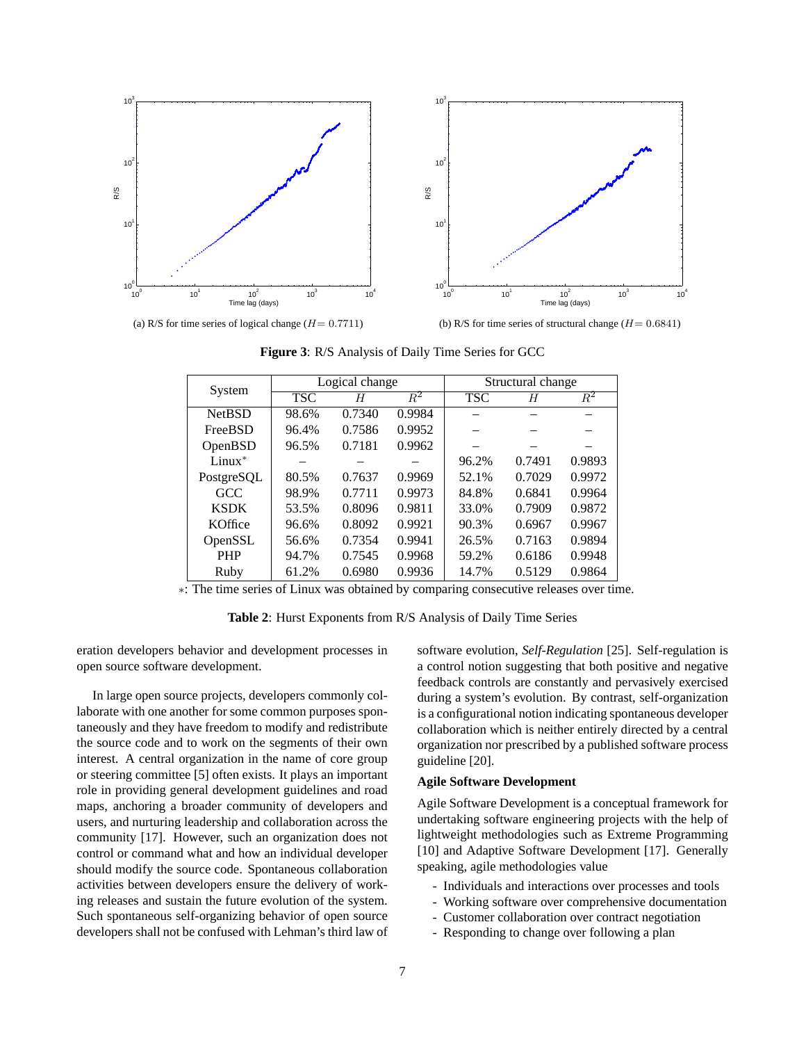

(a) R/S for time series of logical change ( $H= 0.7711$ )

(b) R/S for time series of structural change  $(H= 0.6841)$ 

| System        | Logical change |        |                  | Structural change |        |         |  |
|---------------|----------------|--------|------------------|-------------------|--------|---------|--|
|               | <b>TSC</b>     | Η      | $\overline{R}^2$ | <b>TSC</b>        | Η      | $\,R^2$ |  |
| <b>NetBSD</b> | 98.6%          | 0.7340 | 0.9984           |                   |        |         |  |
| FreeBSD       | 96.4%          | 0.7586 | 0.9952           |                   |        |         |  |
| OpenBSD       | 96.5%          | 0.7181 | 0.9962           |                   |        |         |  |
| $Linux^*$     |                |        |                  | 96.2%             | 0.7491 | 0.9893  |  |
| PostgreSQL    | 80.5%          | 0.7637 | 0.9969           | 52.1%             | 0.7029 | 0.9972  |  |
| GCC           | 98.9%          | 0.7711 | 0.9973           | 84.8%             | 0.6841 | 0.9964  |  |
| <b>KSDK</b>   | 53.5%          | 0.8096 | 0.9811           | 33.0%             | 0.7909 | 0.9872  |  |
| KOffice       | 96.6%          | 0.8092 | 0.9921           | 90.3%             | 0.6967 | 0.9967  |  |
| OpenSSL       | 56.6%          | 0.7354 | 0.9941           | 26.5%             | 0.7163 | 0.9894  |  |
| <b>PHP</b>    | 94.7%          | 0.7545 | 0.9968           | 59.2%             | 0.6186 | 0.9948  |  |
| Ruby          | 61.2%          | 0.6980 | 0.9936           | 14.7%             | 0.5129 | 0.9864  |  |

**Figure 3**: R/S Analysis of Daily Time Series for GCC

∗: The time series of Linux was obtained by comparing consecutive releases over time.

**Table 2**: Hurst Exponents from R/S Analysis of Daily Time Series

eration developers behavior and development processes in open source software development.

In large open source projects, developers commonly collaborate with one another for some common purposes spontaneously and they have freedom to modify and redistribute the source code and to work on the segments of their own interest. A central organization in the name of core group or steering committee [5] often exists. It plays an important role in providing general development guidelines and road maps, anchoring a broader community of developers and users, and nurturing leadership and collaboration across the community [17]. However, such an organization does not control or command what and how an individual developer should modify the source code. Spontaneous collaboration activities between developers ensure the delivery of working releases and sustain the future evolution of the system. Such spontaneous self-organizing behavior of open source developers shall not be confused with Lehman's third law of software evolution, *Self-Regulation* [25]. Self-regulation is a control notion suggesting that both positive and negative feedback controls are constantly and pervasively exercised during a system's evolution. By contrast, self-organization is a configurational notion indicating spontaneous developer collaboration which is neither entirely directed by a central organization nor prescribed by a published software process guideline [20].

### **Agile Software Development**

Agile Software Development is a conceptual framework for undertaking software engineering projects with the help of lightweight methodologies such as Extreme Programming [10] and Adaptive Software Development [17]. Generally speaking, agile methodologies value

- Individuals and interactions over processes and tools
- Working software over comprehensive documentation
- Customer collaboration over contract negotiation
- Responding to change over following a plan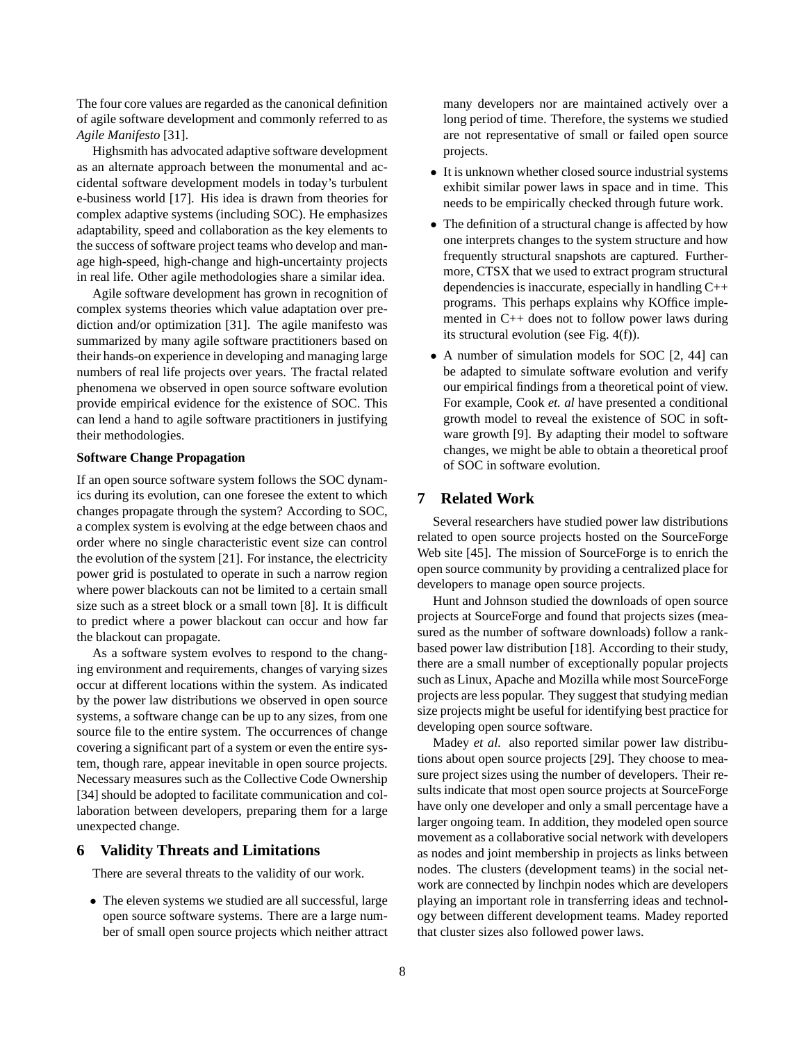The four core values are regarded as the canonical definition of agile software development and commonly referred to as *Agile Manifesto* [31].

Highsmith has advocated adaptive software development as an alternate approach between the monumental and accidental software development models in today's turbulent e-business world [17]. His idea is drawn from theories for complex adaptive systems (including SOC). He emphasizes adaptability, speed and collaboration as the key elements to the success of software project teams who develop and manage high-speed, high-change and high-uncertainty projects in real life. Other agile methodologies share a similar idea.

Agile software development has grown in recognition of complex systems theories which value adaptation over prediction and/or optimization [31]. The agile manifesto was summarized by many agile software practitioners based on their hands-on experience in developing and managing large numbers of real life projects over years. The fractal related phenomena we observed in open source software evolution provide empirical evidence for the existence of SOC. This can lend a hand to agile software practitioners in justifying their methodologies.

#### **Software Change Propagation**

If an open source software system follows the SOC dynamics during its evolution, can one foresee the extent to which changes propagate through the system? According to SOC, a complex system is evolving at the edge between chaos and order where no single characteristic event size can control the evolution of the system [21]. For instance, the electricity power grid is postulated to operate in such a narrow region where power blackouts can not be limited to a certain small size such as a street block or a small town [8]. It is difficult to predict where a power blackout can occur and how far the blackout can propagate.

As a software system evolves to respond to the changing environment and requirements, changes of varying sizes occur at different locations within the system. As indicated by the power law distributions we observed in open source systems, a software change can be up to any sizes, from one source file to the entire system. The occurrences of change covering a significant part of a system or even the entire system, though rare, appear inevitable in open source projects. Necessary measures such as the Collective Code Ownership [34] should be adopted to facilitate communication and collaboration between developers, preparing them for a large unexpected change.

## **6 Validity Threats and Limitations**

There are several threats to the validity of our work.

• The eleven systems we studied are all successful, large open source software systems. There are a large number of small open source projects which neither attract many developers nor are maintained actively over a long period of time. Therefore, the systems we studied are not representative of small or failed open source projects.

- It is unknown whether closed source industrial systems exhibit similar power laws in space and in time. This needs to be empirically checked through future work.
- The definition of a structural change is affected by how one interprets changes to the system structure and how frequently structural snapshots are captured. Furthermore, CTSX that we used to extract program structural dependencies is inaccurate, especially in handling C++ programs. This perhaps explains why KOffice implemented in C++ does not to follow power laws during its structural evolution (see Fig. 4(f)).
- A number of simulation models for SOC [2, 44] can be adapted to simulate software evolution and verify our empirical findings from a theoretical point of view. For example, Cook *et. al* have presented a conditional growth model to reveal the existence of SOC in software growth [9]. By adapting their model to software changes, we might be able to obtain a theoretical proof of SOC in software evolution.

## **7 Related Work**

Several researchers have studied power law distributions related to open source projects hosted on the SourceForge Web site [45]. The mission of SourceForge is to enrich the open source community by providing a centralized place for developers to manage open source projects.

Hunt and Johnson studied the downloads of open source projects at SourceForge and found that projects sizes (measured as the number of software downloads) follow a rankbased power law distribution [18]. According to their study, there are a small number of exceptionally popular projects such as Linux, Apache and Mozilla while most SourceForge projects are less popular. They suggest that studying median size projects might be useful for identifying best practice for developing open source software.

Madey *et al.* also reported similar power law distributions about open source projects [29]. They choose to measure project sizes using the number of developers. Their results indicate that most open source projects at SourceForge have only one developer and only a small percentage have a larger ongoing team. In addition, they modeled open source movement as a collaborative social network with developers as nodes and joint membership in projects as links between nodes. The clusters (development teams) in the social network are connected by linchpin nodes which are developers playing an important role in transferring ideas and technology between different development teams. Madey reported that cluster sizes also followed power laws.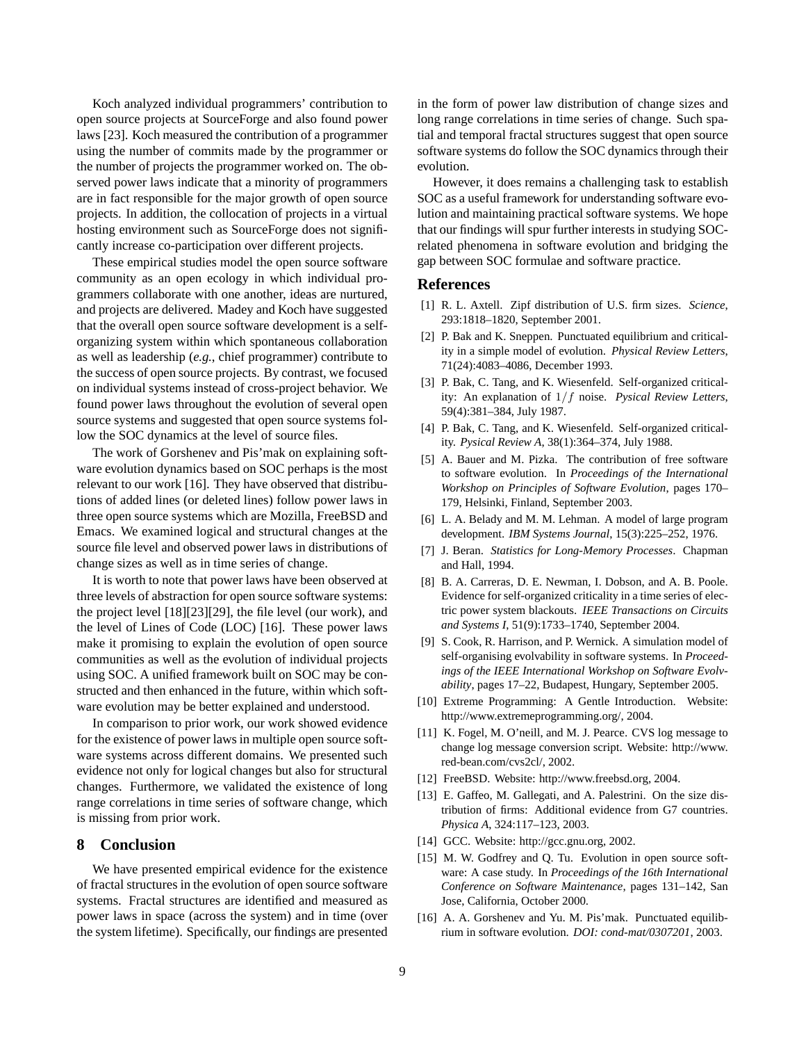Koch analyzed individual programmers' contribution to open source projects at SourceForge and also found power laws [23]. Koch measured the contribution of a programmer using the number of commits made by the programmer or the number of projects the programmer worked on. The observed power laws indicate that a minority of programmers are in fact responsible for the major growth of open source projects. In addition, the collocation of projects in a virtual hosting environment such as SourceForge does not significantly increase co-participation over different projects.

These empirical studies model the open source software community as an open ecology in which individual programmers collaborate with one another, ideas are nurtured, and projects are delivered. Madey and Koch have suggested that the overall open source software development is a selforganizing system within which spontaneous collaboration as well as leadership (*e.g.*, chief programmer) contribute to the success of open source projects. By contrast, we focused on individual systems instead of cross-project behavior. We found power laws throughout the evolution of several open source systems and suggested that open source systems follow the SOC dynamics at the level of source files.

The work of Gorshenev and Pis'mak on explaining software evolution dynamics based on SOC perhaps is the most relevant to our work [16]. They have observed that distributions of added lines (or deleted lines) follow power laws in three open source systems which are Mozilla, FreeBSD and Emacs. We examined logical and structural changes at the source file level and observed power laws in distributions of change sizes as well as in time series of change.

It is worth to note that power laws have been observed at three levels of abstraction for open source software systems: the project level [18][23][29], the file level (our work), and the level of Lines of Code (LOC) [16]. These power laws make it promising to explain the evolution of open source communities as well as the evolution of individual projects using SOC. A unified framework built on SOC may be constructed and then enhanced in the future, within which software evolution may be better explained and understood.

In comparison to prior work, our work showed evidence for the existence of power laws in multiple open source software systems across different domains. We presented such evidence not only for logical changes but also for structural changes. Furthermore, we validated the existence of long range correlations in time series of software change, which is missing from prior work.

### **8 Conclusion**

We have presented empirical evidence for the existence of fractal structures in the evolution of open source software systems. Fractal structures are identified and measured as power laws in space (across the system) and in time (over the system lifetime). Specifically, our findings are presented in the form of power law distribution of change sizes and long range correlations in time series of change. Such spatial and temporal fractal structures suggest that open source software systems do follow the SOC dynamics through their evolution.

However, it does remains a challenging task to establish SOC as a useful framework for understanding software evolution and maintaining practical software systems. We hope that our findings will spur further interests in studying SOCrelated phenomena in software evolution and bridging the gap between SOC formulae and software practice.

#### **References**

- [1] R. L. Axtell. Zipf distribution of U.S. firm sizes. *Science*, 293:1818–1820, September 2001.
- [2] P. Bak and K. Sneppen. Punctuated equilibrium and criticality in a simple model of evolution. *Physical Review Letters*, 71(24):4083–4086, December 1993.
- [3] P. Bak, C. Tang, and K. Wiesenfeld. Self-organized criticality: An explanation of 1/f noise. *Pysical Review Letters*, 59(4):381–384, July 1987.
- [4] P. Bak, C. Tang, and K. Wiesenfeld. Self-organized criticality. *Pysical Review A*, 38(1):364–374, July 1988.
- [5] A. Bauer and M. Pizka. The contribution of free software to software evolution. In *Proceedings of the International Workshop on Principles of Software Evolution*, pages 170– 179, Helsinki, Finland, September 2003.
- [6] L. A. Belady and M. M. Lehman. A model of large program development. *IBM Systems Journal*, 15(3):225–252, 1976.
- [7] J. Beran. *Statistics for Long-Memory Processes*. Chapman and Hall, 1994.
- [8] B. A. Carreras, D. E. Newman, I. Dobson, and A. B. Poole. Evidence for self-organized criticality in a time series of electric power system blackouts. *IEEE Transactions on Circuits and Systems I*, 51(9):1733–1740, September 2004.
- [9] S. Cook, R. Harrison, and P. Wernick. A simulation model of self-organising evolvability in software systems. In *Proceedings of the IEEE International Workshop on Software Evolvability*, pages 17–22, Budapest, Hungary, September 2005.
- [10] Extreme Programming: A Gentle Introduction. Website: http://www.extremeprogramming.org/, 2004.
- [11] K. Fogel, M. O'neill, and M. J. Pearce. CVS log message to change log message conversion script. Website: http://www. red-bean.com/cvs2cl/, 2002.
- [12] FreeBSD. Website: http://www.freebsd.org, 2004.
- [13] E. Gaffeo, M. Gallegati, and A. Palestrini. On the size distribution of firms: Additional evidence from G7 countries. *Physica A*, 324:117–123, 2003.
- [14] GCC. Website: http://gcc.gnu.org, 2002.
- [15] M. W. Godfrey and Q. Tu. Evolution in open source software: A case study. In *Proceedings of the 16th International Conference on Software Maintenance*, pages 131–142, San Jose, California, October 2000.
- [16] A. A. Gorshenev and Yu. M. Pis'mak. Punctuated equilibrium in software evolution. *DOI: cond-mat/0307201*, 2003.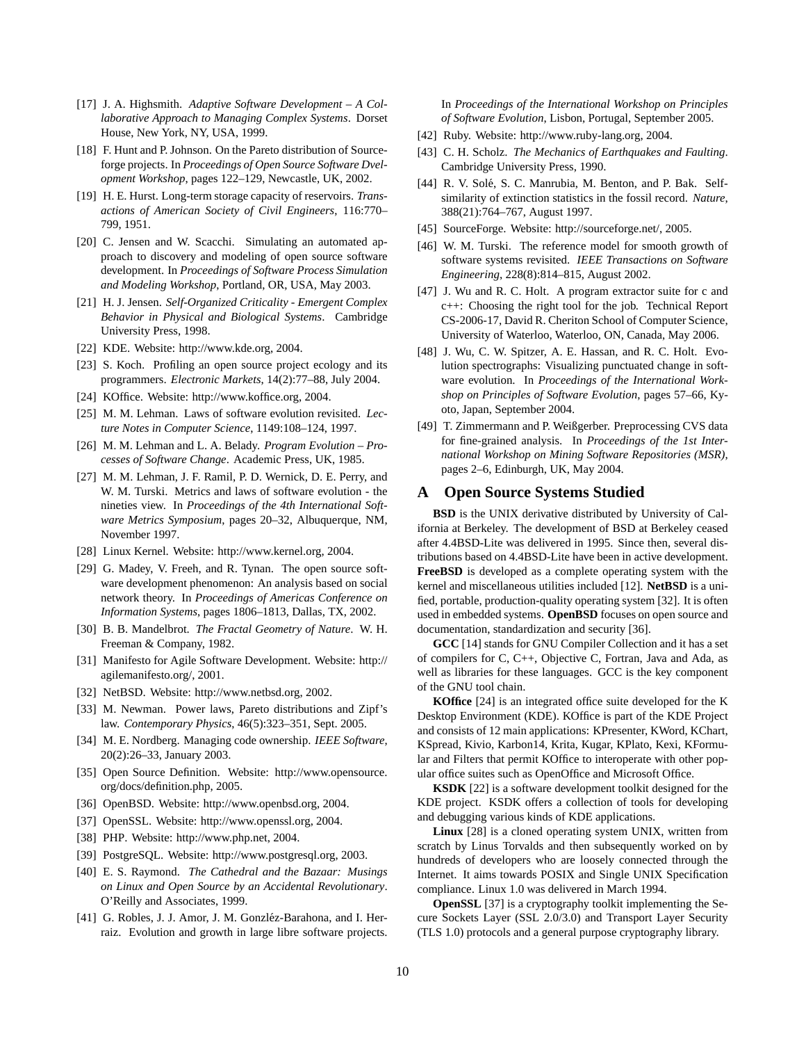- [17] J. A. Highsmith. *Adaptive Software Development A Collaborative Approach to Managing Complex Systems*. Dorset House, New York, NY, USA, 1999.
- [18] F. Hunt and P. Johnson. On the Pareto distribution of Sourceforge projects. In *Proceedings of Open Source Software Dvelopment Workshop*, pages 122–129, Newcastle, UK, 2002.
- [19] H. E. Hurst. Long-term storage capacity of reservoirs. *Transactions of American Society of Civil Engineers*, 116:770– 799, 1951.
- [20] C. Jensen and W. Scacchi. Simulating an automated approach to discovery and modeling of open source software development. In *Proceedings of Software Process Simulation and Modeling Workshop*, Portland, OR, USA, May 2003.
- [21] H. J. Jensen. *Self-Organized Criticality Emergent Complex Behavior in Physical and Biological Systems*. Cambridge University Press, 1998.
- [22] KDE. Website: http://www.kde.org, 2004.
- [23] S. Koch. Profiling an open source project ecology and its programmers. *Electronic Markets*, 14(2):77–88, July 2004.
- [24] KOffice. Website: http://www.koffice.org, 2004.
- [25] M. M. Lehman. Laws of software evolution revisited. *Lecture Notes in Computer Science*, 1149:108–124, 1997.
- [26] M. M. Lehman and L. A. Belady. *Program Evolution Processes of Software Change*. Academic Press, UK, 1985.
- [27] M. M. Lehman, J. F. Ramil, P. D. Wernick, D. E. Perry, and W. M. Turski. Metrics and laws of software evolution - the nineties view. In *Proceedings of the 4th International Software Metrics Symposium*, pages 20–32, Albuquerque, NM, November 1997.
- [28] Linux Kernel. Website: http://www.kernel.org, 2004.
- [29] G. Madey, V. Freeh, and R. Tynan. The open source software development phenomenon: An analysis based on social network theory. In *Proceedings of Americas Conference on Information Systems*, pages 1806–1813, Dallas, TX, 2002.
- [30] B. B. Mandelbrot. *The Fractal Geometry of Nature*. W. H. Freeman & Company, 1982.
- [31] Manifesto for Agile Software Development. Website: http:// agilemanifesto.org/, 2001.
- [32] NetBSD. Website: http://www.netbsd.org, 2002.
- [33] M. Newman. Power laws, Pareto distributions and Zipf's law. *Contemporary Physics*, 46(5):323–351, Sept. 2005.
- [34] M. E. Nordberg. Managing code ownership. *IEEE Software*, 20(2):26–33, January 2003.
- [35] Open Source Definition. Website: http://www.opensource. org/docs/definition.php, 2005.
- [36] OpenBSD. Website: http://www.openbsd.org, 2004.
- [37] OpenSSL. Website: http://www.openssl.org, 2004.
- [38] PHP. Website: http://www.php.net, 2004.
- [39] PostgreSQL. Website: http://www.postgresql.org, 2003.
- [40] E. S. Raymond. *The Cathedral and the Bazaar: Musings on Linux and Open Source by an Accidental Revolutionary*. O'Reilly and Associates, 1999.
- [41] G. Robles, J. J. Amor, J. M. Gonzléz-Barahona, and I. Herraiz. Evolution and growth in large libre software projects.

In *Proceedings of the International Workshop on Principles of Software Evolution*, Lisbon, Portugal, September 2005.

- [42] Ruby. Website: http://www.ruby-lang.org, 2004.
- [43] C. H. Scholz. *The Mechanics of Earthquakes and Faulting*. Cambridge University Press, 1990.
- [44] R. V. Solé, S. C. Manrubia, M. Benton, and P. Bak. Selfsimilarity of extinction statistics in the fossil record. *Nature*, 388(21):764–767, August 1997.
- [45] SourceForge. Website: http://sourceforge.net/, 2005.
- [46] W. M. Turski. The reference model for smooth growth of software systems revisited. *IEEE Transactions on Software Engineering*, 228(8):814–815, August 2002.
- [47] J. Wu and R. C. Holt. A program extractor suite for c and c++: Choosing the right tool for the job. Technical Report CS-2006-17, David R. Cheriton School of Computer Science, University of Waterloo, Waterloo, ON, Canada, May 2006.
- [48] J. Wu, C. W. Spitzer, A. E. Hassan, and R. C. Holt. Evolution spectrographs: Visualizing punctuated change in software evolution. In *Proceedings of the International Workshop on Principles of Software Evolution*, pages 57–66, Kyoto, Japan, September 2004.
- [49] T. Zimmermann and P. Weißgerber. Preprocessing CVS data for fine-grained analysis. In *Proceedings of the 1st International Workshop on Mining Software Repositories (MSR)*, pages 2–6, Edinburgh, UK, May 2004.

## **A Open Source Systems Studied**

**BSD** is the UNIX derivative distributed by University of California at Berkeley. The development of BSD at Berkeley ceased after 4.4BSD-Lite was delivered in 1995. Since then, several distributions based on 4.4BSD-Lite have been in active development. **FreeBSD** is developed as a complete operating system with the kernel and miscellaneous utilities included [12]. **NetBSD** is a unified, portable, production-quality operating system [32]. It is often used in embedded systems. **OpenBSD** focuses on open source and documentation, standardization and security [36].

**GCC** [14] stands for GNU Compiler Collection and it has a set of compilers for C, C++, Objective C, Fortran, Java and Ada, as well as libraries for these languages. GCC is the key component of the GNU tool chain.

**KOffice** [24] is an integrated office suite developed for the K Desktop Environment (KDE). KOffice is part of the KDE Project and consists of 12 main applications: KPresenter, KWord, KChart, KSpread, Kivio, Karbon14, Krita, Kugar, KPlato, Kexi, KFormular and Filters that permit KOffice to interoperate with other popular office suites such as OpenOffice and Microsoft Office.

**KSDK** [22] is a software development toolkit designed for the KDE project. KSDK offers a collection of tools for developing and debugging various kinds of KDE applications.

**Linux** [28] is a cloned operating system UNIX, written from scratch by Linus Torvalds and then subsequently worked on by hundreds of developers who are loosely connected through the Internet. It aims towards POSIX and Single UNIX Specification compliance. Linux 1.0 was delivered in March 1994.

**OpenSSL** [37] is a cryptography toolkit implementing the Secure Sockets Layer (SSL 2.0/3.0) and Transport Layer Security (TLS 1.0) protocols and a general purpose cryptography library.